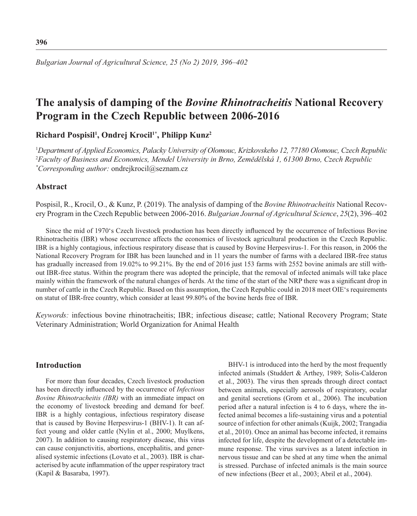# **The analysis of damping of the** *Bovine Rhinotracheitis* **National Recovery Program in the Czech Republic between 2006-2016**

# **Richard Pospisil1 , Ondrej Krocil1\*, Philipp Kunz2**

1 *Department of Applied Economics, Palacky University of Olomouc, Krizkovskeho 12, 77180 Olomouc, Czech Republic* 2 *Faculty of Business and Economics, Mendel University in Brno, Zemědělská 1, 61300 Brno, Czech Republic \* Corresponding author:* ondrejkrocil@seznam.cz

## **Abstract**

Pospisil, R., Krocil, O., & Kunz, P. (2019). The analysis of damping of the *Bovine Rhinotracheitis* National Recovery Program in the Czech Republic between 2006-2016. *Bulgarian Journal of Agricultural Science*, *25*(2), 396–402

Since the mid of 1970's Czech livestock production has been directly influenced by the occurrence of Infectious Bovine Rhinotracheitis (IBR) whose occurrence affects the economics of livestock agricultural production in the Czech Republic. IBR is a highly contagious, infectious respiratory disease that is caused by Bovine Herpesvirus-1. For this reason, in 2006 the National Recovery Program for IBR has been launched and in 11 years the number of farms with a declared IBR-free status has gradually increased from 19.02% to 99.21%. By the end of 2016 just 153 farms with 2552 bovine animals are still without IBR-free status. Within the program there was adopted the principle, that the removal of infected animals will take place mainly within the framework of the natural changes of herds. At the time of the start of the NRP there was a significant drop in number of cattle in the Czech Republic. Based on this assumption, the Czech Republic could in 2018 meet OIE's requirements on statut of IBR-free country, which consider at least 99.80% of the bovine herds free of IBR*.*

*Keywords:* infectious bovine rhinotracheitis; IBR; infectious disease; cattle; National Recovery Program; State Veterinary Administration; World Organization for Animal Health

# **Introduction**

For more than four decades, Czech livestock production has been directly influenced by the occurrence of *Infectious Bovine Rhinotracheitis (IBR)* with an immediate impact on the economy of livestock breeding and demand for beef. IBR is a highly contagious, infectious respiratory disease that is caused by Bovine Herpesvirus-1 (BHV-1). It can affect young and older cattle (Nylin et al., 2000; Muylkens, 2007). In addition to causing respiratory disease, this virus can cause conjunctivitis, abortions, encephalitis, and generalised systemic infections (Lovato et al., 2003). IBR is characterised by acute inflammation of the upper respiratory tract (Kapil & Basaraba, 1997).

BHV-1 is introduced into the herd by the most frequently infected animals (Studdert & Arthey, 1989; Solis-Calderon et al., 2003). The virus then spreads through direct contact between animals, especially aerosols of respiratory, ocular and genital secretions (Grom et al., 2006). The incubation period after a natural infection is 4 to 6 days, where the infected animal becomes a life-sustaining virus and a potential source of infection for other animals (Kuijk, 2002; Trangadia et al., 2010). Once an animal has become infected, it remains infected for life, despite the development of a detectable immune response. The virus survives as a latent infection in nervous tissue and can be shed at any time when the animal is stressed. Purchase of infected animals is the main source of new infections (Beer et al., 2003; Abril et al., 2004).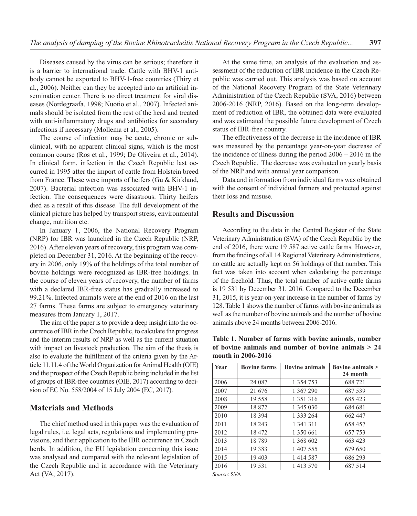Diseases caused by the virus can be serious; therefore it is a barrier to international trade. Cattle with BHV-1 antibody cannot be exported to BHV-1-free countries (Thiry et al., 2006). Neither can they be accepted into an artificial insemination center. There is no direct treatment for viral diseases (Nordegraafa, 1998; Nuotio et al., 2007). Infected animals should be isolated from the rest of the herd and treated with anti-inflammatory drugs and antibiotics for secondary infections if necessary (Mollema et al., 2005).

The course of infection may be acute, chronic or subclinical, with no apparent clinical signs, which is the most common course (Ros et al., 1999; De Oliveira et al., 2014). In clinical form, infection in the Czech Republic last occurred in 1995 after the import of cattle from Holstein breed from France. These were imports of heifers (Gu & Kirkland, 2007). Bacterial infection was associated with BHV-1 infection. The consequences were disastrous. Thirty heifers died as a result of this disease. The full development of the clinical picture has helped by transport stress, environmental change, nutrition etc.

In January 1, 2006, the National Recovery Program (NRP) for IBR was launched in the Czech Republic (NRP, 2016). After eleven years of recovery, this program was completed on December 31, 2016. At the beginning of the recovery in 2006, only 19% of the holdings of the total number of bovine holdings were recognized as IBR-free holdings. In the course of eleven years of recovery, the number of farms with a declared IBR-free status has gradually increased to 99.21%. Infected animals were at the end of 2016 on the last 27 farms. These farms are subject to emergency veterinary measures from January 1, 2017.

The aim of the paper is to provide a deep insight into the occurrence of IBR in the Czech Republic, to calculate the progress and the interim results of NRP as well as the current situation with impact on livestock production. The aim of the thesis is also to evaluate the fulfillment of the criteria given by the Article 11.11.4 of the World Organization for Animal Health (OIE) and the prospect of the Czech Republic being included in the list of groups of IBR-free countries (OIE, 2017) according to decision of EC No. 558/2004 of 15 July 2004 (EC, 2017).

### **Materials and Methods**

The chief method used in this paper was the evaluation of legal rules, i.e. legal acts, regulations and implementing provisions, and their application to the IBR occurrence in Czech herds. In addition, the EU legislation concerning this issue was analysed and compared with the relevant legislation of the Czech Republic and in accordance with the Veterinary Act (VA, 2017).

At the same time, an analysis of the evaluation and assessment of the reduction of IBR incidence in the Czech Republic was carried out. This analysis was based on account of the National Recovery Program of the State Veterinary Administration of the Czech Republic (SVA, 2016) between 2006-2016 (NRP, 2016). Based on the long-term development of reduction of IBR, the obtained data were evaluated and was estimated the possible future development of Czech status of IBR*-*free country.

The effectiveness of the decrease in the incidence of IBR was measured by the percentage year-on-year decrease of the incidence of illness during the period 2006 – 2016 in the Czech Republic. The decrease was evaluated on yearly basis of the NRP and with annual year comparison.

Data and information from individual farms was obtained with the consent of individual farmers and protected against their loss and misuse.

#### **Results and Discussion**

According to the data in the Central Register of the State Veterinary Administration (SVA) of the Czech Republic by the end of 2016, there were 19 587 active cattle farms. However, from the findings of all 14 Regional Veterinary Administrations, no cattle are actually kept on 56 holdings of that number. This fact was taken into account when calculating the percentage of the freehold. Thus, the total number of active cattle farms is 19 531 by December 31, 2016. Compared to the December 31, 2015, it is year-on-year increase in the number of farms by 128. Table 1 shows the number of farms with bovine animals as well as the number of bovine animals and the number of bovine animals above 24 months between 2006-2016.

**Table 1. Number of farms with bovine animals, number of bovine animals and number of bovine animals > 24 month in 2006-2016**

| Year | <b>Bovine farms</b> | <b>Bovine animals</b> | Bovine animals ><br>24 month |
|------|---------------------|-----------------------|------------------------------|
| 2006 | 24 087              | 1 354 753             | 688721                       |
| 2007 | 21 676              | 1 367 290             | 687 539                      |
| 2008 | 19 558              | 1 3 5 1 3 1 6         | 685 423                      |
| 2009 | 18872               | 1 345 030             | 684 681                      |
| 2010 | 18 3 9 4            | 1 333 264             | 662 447                      |
| 2011 | 18 24 3             | 1 341 311             | 658 457                      |
| 2012 | 18 472              | 1 350 661             | 657 753                      |
| 2013 | 18789               | 1 368 602             | 663 423                      |
| 2014 | 19 3 8 3            | 1 407 555             | 679 650                      |
| 2015 | 19 403              | 1 4 1 4 5 8 7         | 686 293                      |
| 2016 | 19 531              | 1 4 1 3 5 7 0         | 687 514                      |

*Source*: SVA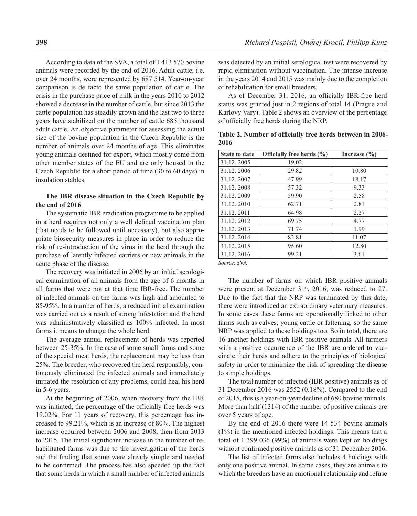According to data of the SVA, a total of 1 413 570 bovine animals were recorded by the end of 2016. Adult cattle, i.e. over 24 months, were represented by 687 514. Year-on-year comparison is de facto the same population of cattle. The crisis in the purchase price of milk in the years 2010 to 2012 showed a decrease in the number of cattle, but since 2013 the cattle population has steadily grown and the last two to three years have stabilized on the number of cattle 685 thousand adult cattle. An objective parameter for assessing the actual size of the bovine population in the Czech Republic is the number of animals over 24 months of age. This eliminates young animals destined for export, which mostly come from other member states of the EU and are only housed in the Czech Republic for a short period of time (30 to 60 days) in insulation stables.

#### **The IBR disease situation in the Czech Republic by the end of 2016**

The systematic IBR eradication programme to be applied in a herd requires not only a well defined vaccination plan (that needs to be followed until necessary), but also appropriate biosecurity measures in place in order to reduce the risk of re-introduction of the virus in the herd through the purchase of latently infected carriers or new animals in the acute phase of the disease.

The recovery was initiated in 2006 by an initial serological examination of all animals from the age of 6 months in all farms that were not at that time IBR-free. The number of infected animals on the farms was high and amounted to 85-95%. In a number of herds, a reduced initial examination was carried out as a result of strong infestation and the herd was administratively classified as 100% infected. In most farms it means to change the whole herd.

The average annual replacement of herds was reported between 25-35%. In the case of some small farms and some of the special meat herds, the replacement may be less than 25%. The breeder, who recovered the herd responsibly, continuously eliminated the infected animals and immediately initiated the resolution of any problems, could heal his herd in 5-6 years.

At the beginning of 2006, when recovery from the IBR was initiated, the percentage of the officially free herds was 19.02%. For 11 years of recovery, this percentage has increased to 99.21%, which is an increase of 80%. The highest increase occurred between 2006 and 2008, then from 2013 to 2015. The initial significant increase in the number of rehabilitated farms was due to the investigation of the herds and the finding that some were already simple and needed to be confirmed. The process has also speeded up the fact that some herds in which a small number of infected animals was detected by an initial serological test were recovered by rapid elimination without vaccination. The intense increase in the years 2014 and 2015 was mainly due to the completion of rehabilitation for small breeders.

As of December 31, 2016, an officially IBR-free herd status was granted just in 2 regions of total 14 (Prague and Karlovy Vary). Table 2 shows an overview of the percentage of officially free herds during the NRP.

Table 2. Number of officially free herds between in 2006-**2016**

| <b>State to date</b> | Officially free herds $(\% )$ | Increase $(\% )$ |
|----------------------|-------------------------------|------------------|
| 31.12.2005           | 19.02                         |                  |
| 31.12.2006           | 29.82                         | 10.80            |
| 31.12.2007           | 47.99                         | 18.17            |
| 31.12.2008           | 57.32                         | 9.33             |
| 31.12.2009           | 59.90                         | 2.58             |
| 31.12.2010           | 62.71                         | 2.81             |
| 31.12.2011           | 64.98                         | 2.27             |
| 31.12.2012           | 69.75                         | 4.77             |
| 31.12.2013           | 71.74                         | 1.99             |
| 31.12.2014           | 82.81                         | 11.07            |
| 31.12.2015           | 95.60                         | 12.80            |
| 31.12.2016           | 99.21                         | 3.61             |

*Source*: SVA

The number of farms on which IBR positive animals were present at December 31<sup>st</sup>, 2016, was reduced to 27. Due to the fact that the NRP was terminated by this date, there were introduced an extraordinary veterinary measures. In some cases these farms are operationally linked to other farms such as calves, young cattle or fattening, so the same NRP was applied to these holdings too. So in total, there are 16 another holdings with IBR positive animals. All farmers with a positive occurrence of the IBR are ordered to vaccinate their herds and adhere to the principles of biological safety in order to minimize the risk of spreading the disease to simple holdings.

The total number of infected (IBR positive) animals as of 31 December 2016 was 2552 (0.18%). Compared to the end of 2015, this is a year-on-year decline of 680 bovine animals. More than half (1314) of the number of positive animals are over 5 years of age.

By the end of 2016 there were 14 534 bovine animals  $(1\%)$  in the mentioned infected holdings. This means that a total of 1 399 036 (99%) of animals were kept on holdings without confirmed positive animals as of 31 December 2016.

The list of infected farms also includes 4 holdings with only one positive animal. In some cases, they are animals to which the breeders have an emotional relationship and refuse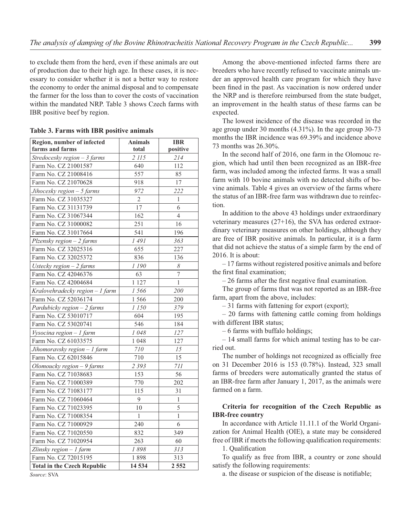to exclude them from the herd, even if these animals are out of production due to their high age. In these cases, it is necessary to consider whether it is not a better way to restore the economy to order the animal disposal and to compensate the farmer for the loss than to cover the costs of vaccination within the mandated NRP. Table 3 shows Czech farms with IBR positive beef by region.

| Region, number of infected<br>farms and farms | <b>Animals</b><br>total | <b>IBR</b>     |  |
|-----------------------------------------------|-------------------------|----------------|--|
|                                               |                         | positive       |  |
| Stredocesky region - 3 farms                  | 2 115                   | 214            |  |
| Farm No. CZ 21001587                          | 640                     | 112            |  |
| Farm No. CZ 21008416                          | 557                     | 85             |  |
| Farm No. CZ 21070628                          | 918                     | 17             |  |
| Jihocesky region - 5 farms                    | 972                     | 222            |  |
| Farm No. CZ 31035327                          | $\overline{2}$          | 1              |  |
| Farm No. CZ 31131739                          | 17                      | 6              |  |
| Farm No. CZ 31067344                          | 162                     | $\overline{4}$ |  |
| Farm No. CZ 31000082                          | 251                     | 16             |  |
| Farm No. CZ 31017664                          | 541                     | 196            |  |
| $Plzensky region - 2 farms$                   | 1491                    | 363            |  |
| Farm No. CZ 32025316                          | 655                     | 227            |  |
| Farm No. CZ 32025372                          | 836                     | 136            |  |
| Ustecky region $-2$ farms                     | 1190                    | 8              |  |
| Farm No. CZ 42046376                          | 63                      | 7              |  |
| Farm No. CZ 42004684                          | 1 1 2 7                 | 1              |  |
| Kralovehradecky region - 1 farm               | 1566                    | 200            |  |
| Farm No. CZ 52036174                          | 1566                    | 200            |  |
| Pardubicky region - 2 farms                   | 1150                    | 379            |  |
| Farm No. CZ 53010717                          | 604                     | 195            |  |
| Farm No. CZ 53020741                          | 546                     | 184            |  |
| Vysocina region $-1$ farm                     | 1048                    | 127            |  |
| Farm No. CZ 61033575                          | 1 0 4 8                 | 127            |  |
| Jihomoravsky region - 1 farm                  | 710                     | 15             |  |
| Farm No. CZ 62015846                          | 710                     | 15             |  |
| Olomoucky region - 9 farms                    | 2 3 9 3                 | 711            |  |
| Farm No. CZ 71038683                          | 153                     | 56             |  |
| Farm No. CZ 71000389                          | 770                     | 202            |  |
| Farm No. CZ 71083177                          | 115                     | 31             |  |
| Farm No. CZ 71060464                          | 9                       | 1              |  |
| Farm No. CZ 71023395                          | 10                      | 5              |  |
| Farm No. CZ 71008354                          | 1                       | 1              |  |
| Farm No. CZ 71000929                          | 240                     | 6              |  |
| Farm No. CZ 71020550                          | 832                     | 349            |  |
| Farm No. CZ 71020954                          | 263                     | 60             |  |
| Zlinsky region $-1$ farm                      | 1898                    | 313            |  |
| Farm No. CZ 72015195                          | 1898                    | 313            |  |
| <b>Total in the Czech Republic</b>            | 14 534                  | 2 5 5 2        |  |

**Table 3. Farms with IBR positive animals**

Among the above-mentioned infected farms there are breeders who have recently refused to vaccinate animals under an approved health care program for which they have been fined in the past. As vaccination is now ordered under the NRP and is therefore reimbursed from the state budget, an improvement in the health status of these farms can be expected.

The lowest incidence of the disease was recorded in the age group under 30 months (4.31%). In the age group 30-73 months the IBR incidence was 69.39% and incidence above 73 months was 26.30%.

In the second half of 2016, one farm in the Olomouc region, which had until then been recognized as an IBR-free farm, was included among the infected farms. It was a small farm with 10 bovine animals with no detected shifts of bovine animals. Table 4 gives an overview of the farms where the status of an IBR-free farm was withdrawn due to reinfection.

In addition to the above 43 holdings under extraordinary veterinary measures (27+16), the SVA has ordered extraordinary veterinary measures on other holdings, although they are free of IBR positive animals. In particular, it is a farm that did not achieve the status of a simple farm by the end of 2016. It is about:

– 17 farms without registered positive animals and before the first final examination:

 $-26$  farms after the first negative final examination.

The group of farms that was not reported as an IBR-free farm, apart from the above, includes:

– 31 farms with fattening for export (export);

– 20 farms with fattening cattle coming from holdings with different IBR status;

– 6 farms with buffalo holdings;

– 14 small farms for which animal testing has to be carried out.

The number of holdings not recognized as officially free on 31 December 2016 is 153 (0.78%). Instead, 323 small farms of breeders were automatically granted the status of an IBR-free farm after January 1, 2017, as the animals were farmed on a farm.

### **Criteria for recognition of the Czech Republic as IBR-free country**

In accordance with Article 11.11.1 of the World Organization for Animal Health (OIE), a state may be considered free of IBR if meets the following qualification requirements: 1. Qualification

To qualify as free from IBR, a country or zone should satisfy the following requirements:

a. the disease or suspicion of the disease is notifiable;

*Source*: SVA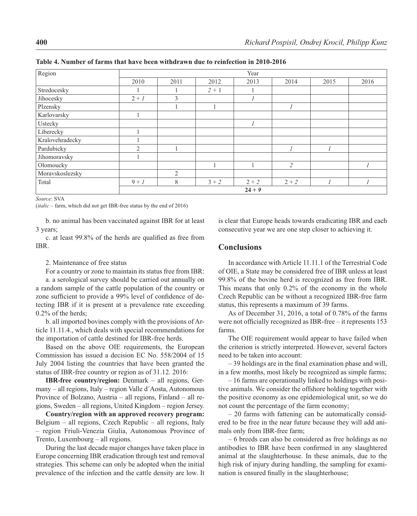| Region          | Year     |                |         |         |                |      |      |
|-----------------|----------|----------------|---------|---------|----------------|------|------|
|                 | 2010     | 2011           | 2012    | 2013    | 2014           | 2015 | 2016 |
| Stredocesky     |          |                | $2 + 1$ |         |                |      |      |
| Jihocesky       | $2+1$    | 3              |         |         |                |      |      |
| Plzensky        |          |                |         |         |                |      |      |
| Karlovarsky     |          |                |         |         |                |      |      |
| Ustecky         |          |                |         |         |                |      |      |
| Liberecky       |          |                |         |         |                |      |      |
| Kralovehradecky |          |                |         |         |                |      |      |
| Pardubicky      | 2        |                |         |         |                |      |      |
| Jihomoravsky    |          |                |         |         |                |      |      |
| Olomoucky       |          |                |         |         | $\overline{2}$ |      |      |
| Moravskoslezsky |          | $\overline{2}$ |         |         |                |      |      |
| Total           | $9+1$    | 8              | $3 + 2$ | $2 + 2$ | $2 + 2$        |      |      |
|                 | $24 + 9$ |                |         |         |                |      |      |

**Table 4. Number of farms that have been withdrawn due to reinfection in 2010-2016**

*Source*: SVA

(*italic* – farm, which did not get IBR-free status by the end of 2016)

b. no animal has been vaccinated against IBR for at least 3 years;

c. at least 99.8% of the herds are qualified as free from IBR.

#### 2. Maintenance of free status

For a country or zone to maintain its status free from IBR:

a. a serological survey should be carried out annually on a random sample of the cattle population of the country or zone sufficient to provide a 99% level of confidence of detecting IBR if it is present at a prevalence rate exceeding 0.2% of the herds;

b. all imported bovines comply with the provisions of Article 11.11.4., which deals with special recommendations for the importation of cattle destined for IBR-free herds.

Based on the above OIE requirements, the European Commission has issued a decision EC No. 558/2004 of 15 July 2004 listing the countries that have been granted the status of IBR-free country or region as of 31.12. 2016:

**IBR-free country/region:** Denmark – all regions, Germany – all regions, Italy – region Valle d´Aosta, Autonomous Province of Bolzano, Austria – all regions, Finland – all regions, Sweden – all regions, United Kingdom – region Jersey.

**Country/region with an approved recovery program:**  Belgium – all regions, Czech Republic – all regions, Italy – region Friuli-Venezia Giulia, Autonomous Province of Trento, Luxembourg – all regions.

During the last decade major changes have taken place in Europe concerning IBR eradication through test and removal strategies. This scheme can only be adopted when the initial prevalence of the infection and the cattle density are low. It is clear that Europe heads towards eradicating IBR and each consecutive year we are one step closer to achieving it.

### **Conclusions**

In accordance with Article 11.11.1 of the Terrestrial Code of OIE, a State may be considered free of IBR unless at least 99.8% of the bovine herd is recognized as free from IBR. This means that only 0.2% of the economy in the whole Czech Republic can be without a recognized IBR-free farm status, this represents a maximum of 39 farms.

As of December 31, 2016, a total of 0.78% of the farms were not officially recognized as IBR-free  $-$  it represents 153 farms.

The OIE requirement would appear to have failed when the criterion is strictly interpreted. However, several factors need to be taken into account:

 $-39$  holdings are in the final examination phase and will, in a few months, most likely be recognized as simple farms;

– 16 farms are operationally linked to holdings with positive animals. We consider the offshore holding together with the positive economy as one epidemiological unit, so we do not count the percentage of the farm economy;

– 20 farms with fattening can be automatically considered to be free in the near future because they will add animals only from IBR-free farm;

– 6 breeds can also be considered as free holdings as no antibodies to IBR have been confirmed in any slaughtered animal at the slaughterhouse. In these animals, due to the high risk of injury during handling, the sampling for examination is ensured finally in the slaughterhouse;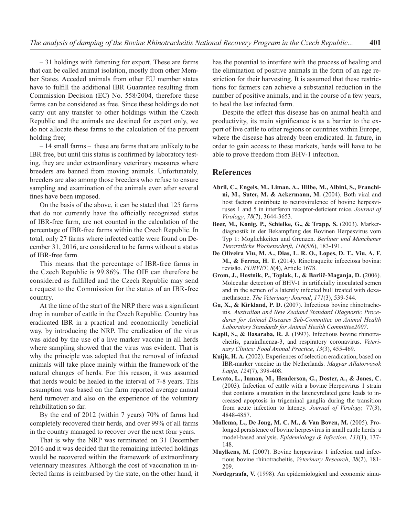– 31 holdings with fattening for export. These are farms that can be called animal isolation, mostly from other Member States. Acceded animals from other EU member states have to fulfill the additional IBR Guarantee resulting from Commission Decision (EC) No. 558/2004, therefore these farms can be considered as free. Since these holdings do not carry out any transfer to other holdings within the Czech Republic and the animals are destined for export only, we do not allocate these farms to the calculation of the percent holding free;

– 14 small farms – these are farms that are unlikely to be IBR free, but until this status is confirmed by laboratory testing, they are under extraordinary veterinary measures where breeders are banned from moving animals. Unfortunately, breeders are also among those breeders who refuse to ensure sampling and examination of the animals even after several fines have been imposed.

On the basis of the above, it can be stated that 125 farms that do not currently have the officially recognized status of IBR-free farm, are not counted in the calculation of the percentage of IBR-free farms within the Czech Republic. In total, only 27 farms where infected cattle were found on December 31, 2016, are considered to be farms without a status of IBR-free farm.

This means that the percentage of IBR-free farms in the Czech Republic is 99.86%. The OIE can therefore be considered as fulfilled and the Czech Republic may send a request to the Commission for the status of an IBR-free country.

At the time of the start of the NRP there was a significant drop in number of cattle in the Czech Republic. Country has eradicated IBR in a practical and economically beneficial way, by introducing the NRP. The eradication of the virus was aided by the use of a live marker vaccine in all herds where sampling showed that the virus was evident. That is why the principle was adopted that the removal of infected animals will take place mainly within the framework of the natural changes of herds. For this reason, it was assumed that herds would be healed in the interval of 7-8 years. This assumption was based on the farm reported average annual herd turnover and also on the experience of the voluntary rehabilitation so far.

By the end of 2012 (within 7 years) 70% of farms had completely recovered their herds, and over 99% of all farms in the country managed to recover over the next four years.

That is why the NRP was terminated on 31 December 2016 and it was decided that the remaining infected holdings would be recovered within the framework of extraordinary veterinary measures. Although the cost of vaccination in infected farms is reimbursed by the state, on the other hand, it has the potential to interfere with the process of healing and the elimination of positive animals in the form of an age restriction for their harvesting. It is assumed that these restrictions for farmers can achieve a substantial reduction in the number of positive animals, and in the course of a few years, to heal the last infected farm.

Despite the effect this disease has on animal health and productivity, its main significance is as a barrier to the export of live cattle to other regions or countries within Europe, where the disease has already been eradicated. In future, in order to gain access to these markets, herds will have to be able to prove freedom from BHV-1 infection.

#### **References**

- **Abril, C., Engels, M., Liman, A., Hilbe, M., Albini, S., Franchini, M., Suter, M. & Ackermann, M.** (2004). Both viral and host factors contribute to neurovirulence of bovine herpesviruses 1 and 5 in interferon receptor-deficient mice. *Journal of Virology*, *78*(7), 3644-3653.
- **Beer, M., Konig, P., Schielke, G., & Trapp, S.** (2003). Markerdiagnostik in der Bekampfung des Bovinen Herpesvirus vom Typ 1: Moglichkeiten und Grenzen. *Berliner und Munchener Tierarztliche Wochenschrift*, *116*(5/6), 183-191.
- **De Oliveira Viu, M. A., Dias, L. R. O., Lopes, D. T., Viu, A. F. M., & Ferraz, H. T.** (2014). Rinotraqueíte infecciosa bovina: revisão. *PUBVET*, *8*(4), Article 1678.
- **Grom, J., Hostnik, P., Toplak, I., & Barlič-Maganja, D.** (2006). Molecular detection of BHV-1 in artificially inoculated semen and in the semen of a latently infected bull treated with dexamethasone. *The Veterinary Journal*, *171*(3), 539-544.
- **Gu, X., & Kirkland, P. D.** (2007). Infectious bovine rhinotracheitis. *Australian and New Zealand Standard Diagnostic Procedures for Animal Diseases Sub-Committee on Animal Health Laboratory Standards for Animal Health Committee2007*.
- **Kapil, S., & Basaraba, R. J.** (1997). Infectious bovine rhinotracheitis, parainfluenza-3, and respiratory coronavirus. Veteri*nary Clinics: Food Animal Practice*, *13*(3), 455-469.
- **Kuijk, H. A.** (2002). Experiences of selection eradication, based on IBR-marker vaccine in the Netherlands. *Magyar Allatorvosok Lapja*, *124*(7), 398-408.
- **Lovato, L., Inman, M., Henderson, G., Doster, A., & Jones, C.** (2003). Infection of cattle with a bovine Herpesvirus 1 strain that contains a mutation in the latencyrelated gene leads to increased apoptosis in trigeminal ganglia during the transition from acute infection to latency. *Journal of Virology,* 77(3), 4848-4857.
- **Mollema, L., De Jong, M. C. M., & Van Boven, M.** (2005). Prolonged persistence of bovine herpesvirus in small cattle herds: a model-based analysis. *Epidemiology & Infection*, *133*(1), 137- 148.
- **Muylkens, M.** (2007). Bovine herpesvirus 1 infection and infectious bovine rhinotracheitis, *Veterinary Research*, *38*(2), 181- 209.
- **Nordegraafa, V.** (1998). An epidemiological and economic simu-